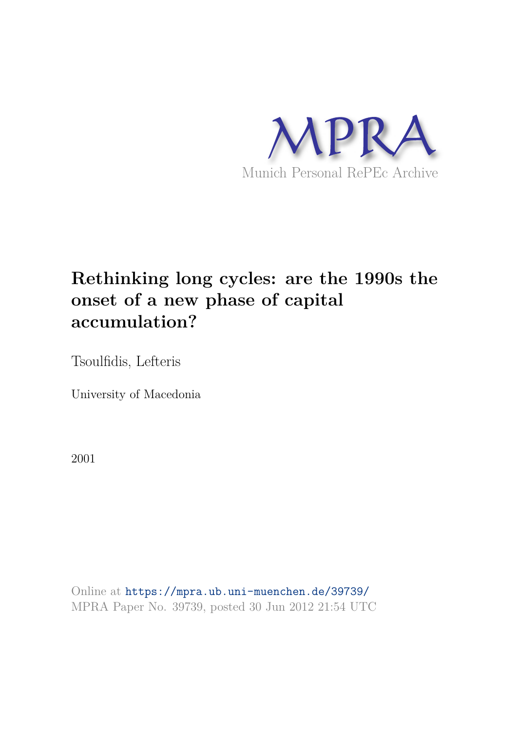

# **Rethinking long cycles: are the 1990s the onset of a new phase of capital accumulation?**

Tsoulfidis, Lefteris

University of Macedonia

2001

Online at https://mpra.ub.uni-muenchen.de/39739/ MPRA Paper No. 39739, posted 30 Jun 2012 21:54 UTC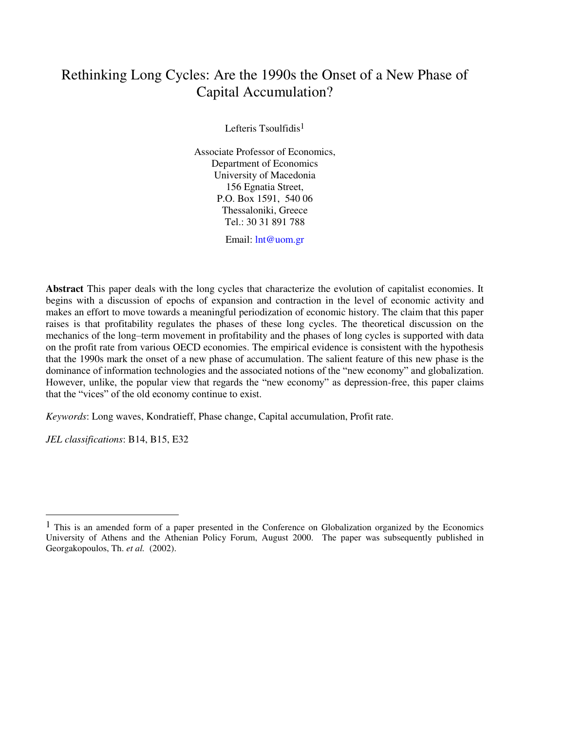# Rethinking Long Cycles: Are the 1990s the Onset of a New Phase of Capital Accumulation?

Lefteris Tsoulfidis1

Associate Professor of Economics, Department of Economics University of Macedonia 156 Egnatia Street, P.O. Box 1591, 540 06 Thessaloniki, Greece Tel.: 30 31 891 788

Email: [lnt@uom.gr](mailto:lnt@uom.gr)

**Abstract** This paper deals with the long cycles that characterize the evolution of capitalist economies. It begins with a discussion of epochs of expansion and contraction in the level of economic activity and makes an effort to move towards a meaningful periodization of economic history. The claim that this paper raises is that profitability regulates the phases of these long cycles. The theoretical discussion on the mechanics of the long–term movement in profitability and the phases of long cycles is supported with data on the profit rate from various OECD economies. The empirical evidence is consistent with the hypothesis that the 1990s mark the onset of a new phase of accumulation. The salient feature of this new phase is the dominance of information technologies and the associated notions of the "new economy" and globalization. However, unlike, the popular view that regards the "new economy" as depression-free, this paper claims that the "vices" of the old economy continue to exist.

*Keywords*: Long waves, Kondratieff, Phase change, Capital accumulation, Profit rate.

*JEL classifications*: B14, B15, E32

<sup>1</sup> This is an amended form of a paper presented in the Conference on Globalization organized by the Economics University of Athens and the Athenian Policy Forum, August 2000. The paper was subsequently published in Georgakopoulos, Th. *et al.* (2002).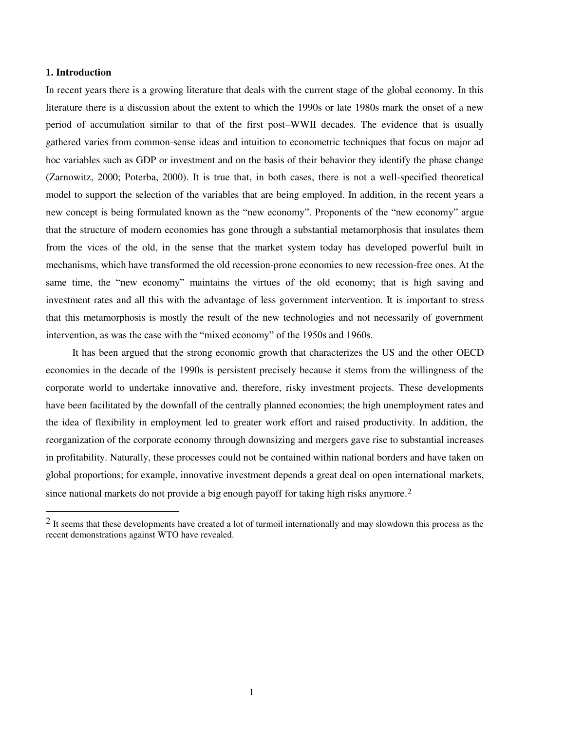#### **1. Introduction**

-

In recent years there is a growing literature that deals with the current stage of the global economy. In this literature there is a discussion about the extent to which the 1990s or late 1980s mark the onset of a new period of accumulation similar to that of the first post–WWII decades. The evidence that is usually gathered varies from common-sense ideas and intuition to econometric techniques that focus on major ad hoc variables such as GDP or investment and on the basis of their behavior they identify the phase change (Zarnowitz, 2000; Poterba, 2000). It is true that, in both cases, there is not a well-specified theoretical model to support the selection of the variables that are being employed. In addition, in the recent years a new concept is being formulated known as the "new economy". Proponents of the "new economy" argue that the structure of modern economies has gone through a substantial metamorphosis that insulates them from the vices of the old, in the sense that the market system today has developed powerful built in mechanisms, which have transformed the old recession-prone economies to new recession-free ones. At the same time, the "new economy" maintains the virtues of the old economy; that is high saving and investment rates and all this with the advantage of less government intervention. It is important to stress that this metamorphosis is mostly the result of the new technologies and not necessarily of government intervention, as was the case with the "mixed economy" of the 1950s and 1960s.

 It has been argued that the strong economic growth that characterizes the US and the other OECD economies in the decade of the 1990s is persistent precisely because it stems from the willingness of the corporate world to undertake innovative and, therefore, risky investment projects. These developments have been facilitated by the downfall of the centrally planned economies; the high unemployment rates and the idea of flexibility in employment led to greater work effort and raised productivity. In addition, the reorganization of the corporate economy through downsizing and mergers gave rise to substantial increases in profitability. Naturally, these processes could not be contained within national borders and have taken on global proportions; for example, innovative investment depends a great deal on open international markets, since national markets do not provide a big enough payoff for taking high risks anymore.<sup>2</sup>

<sup>&</sup>lt;sup>2</sup> It seems that these developments have created a lot of turmoil internationally and may slowdown this process as the recent demonstrations against WTO have revealed.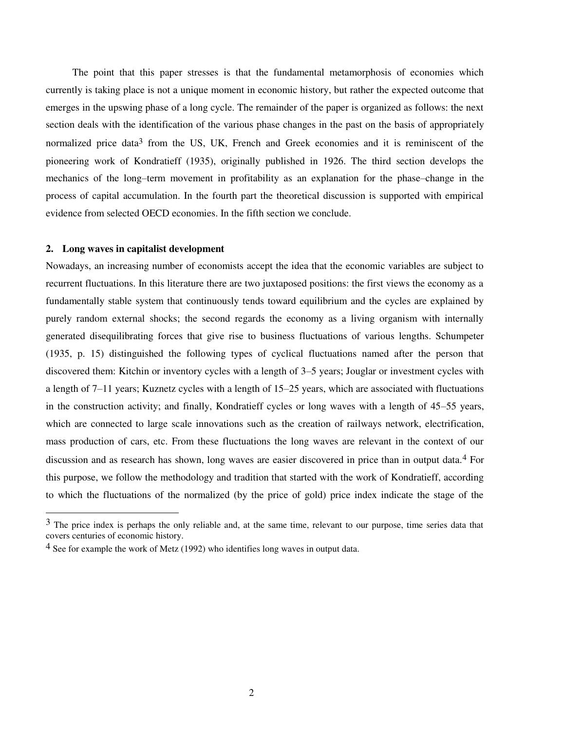The point that this paper stresses is that the fundamental metamorphosis of economies which currently is taking place is not a unique moment in economic history, but rather the expected outcome that emerges in the upswing phase of a long cycle. The remainder of the paper is organized as follows: the next section deals with the identification of the various phase changes in the past on the basis of appropriately normalized price data<sup>3</sup> from the US, UK, French and Greek economies and it is reminiscent of the pioneering work of Kondratieff (1935), originally published in 1926. The third section develops the mechanics of the long–term movement in profitability as an explanation for the phase–change in the process of capital accumulation. In the fourth part the theoretical discussion is supported with empirical evidence from selected OECD economies. In the fifth section we conclude.

#### **2. Long waves in capitalist development**

j

Nowadays, an increasing number of economists accept the idea that the economic variables are subject to recurrent fluctuations. In this literature there are two juxtaposed positions: the first views the economy as a fundamentally stable system that continuously tends toward equilibrium and the cycles are explained by purely random external shocks; the second regards the economy as a living organism with internally generated disequilibrating forces that give rise to business fluctuations of various lengths. Schumpeter (1935, p. 15) distinguished the following types of cyclical fluctuations named after the person that discovered them: Kitchin or inventory cycles with a length of 3–5 years; Jouglar or investment cycles with a length of 7–11 years; Kuznetz cycles with a length of 15–25 years, which are associated with fluctuations in the construction activity; and finally, Kondratieff cycles or long waves with a length of 45–55 years, which are connected to large scale innovations such as the creation of railways network, electrification, mass production of cars, etc. From these fluctuations the long waves are relevant in the context of our discussion and as research has shown, long waves are easier discovered in price than in output data.4 For this purpose, we follow the methodology and tradition that started with the work of Kondratieff, according to which the fluctuations of the normalized (by the price of gold) price index indicate the stage of the

 $3$  The price index is perhaps the only reliable and, at the same time, relevant to our purpose, time series data that covers centuries of economic history.

<sup>4</sup> See for example the work of Metz (1992) who identifies long waves in output data.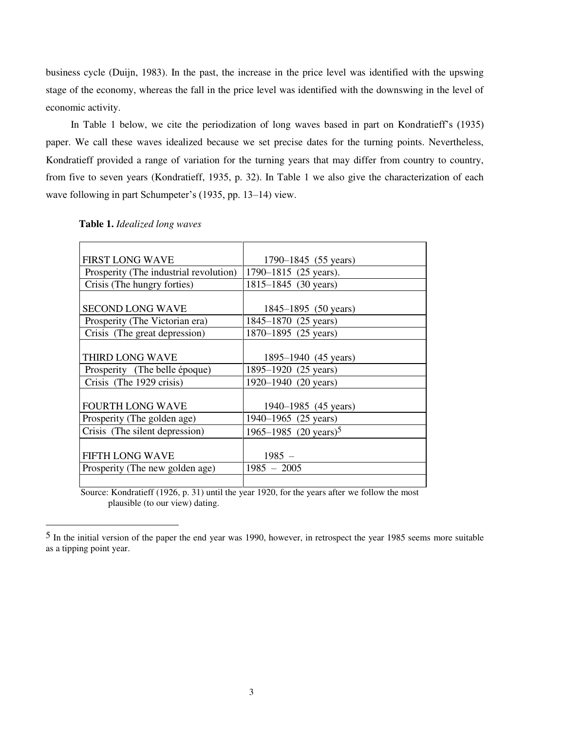business cycle (Duijn, 1983). In the past, the increase in the price level was identified with the upswing stage of the economy, whereas the fall in the price level was identified with the downswing in the level of economic activity.

 In Table 1 below, we cite the periodization of long waves based in part on Kondratieff's (1935) paper. We call these waves idealized because we set precise dates for the turning points. Nevertheless, Kondratieff provided a range of variation for the turning years that may differ from country to country, from five to seven years (Kondratieff, 1935, p. 32). In Table 1 we also give the characterization of each wave following in part Schumpeter's (1935, pp. 13–14) view.

| <b>FIRST LONG WAVE</b>                 | 1790–1845 (55 years)              |
|----------------------------------------|-----------------------------------|
| Prosperity (The industrial revolution) | 1790–1815 (25 years).             |
| Crisis (The hungry forties)            | 1815–1845 (30 years)              |
|                                        |                                   |
| <b>SECOND LONG WAVE</b>                | 1845–1895 (50 years)              |
| Prosperity (The Victorian era)         | 1845–1870 (25 years)              |
| Crisis (The great depression)          | 1870–1895 (25 years)              |
|                                        |                                   |
| THIRD LONG WAVE                        | 1895–1940 (45 years)              |
| Prosperity (The belle époque)          | 1895-1920 (25 years)              |
| Crisis (The 1929 crisis)               | 1920-1940 (20 years)              |
|                                        |                                   |
| <b>FOURTH LONG WAVE</b>                | 1940–1985 (45 years)              |
| Prosperity (The golden age)            | 1940–1965 (25 years)              |
| Crisis (The silent depression)         | 1965–1985 (20 years) <sup>5</sup> |
|                                        |                                   |
| <b>FIFTH LONG WAVE</b>                 | $1985 -$                          |
| Prosperity (The new golden age)        | $1985 - 2005$                     |
|                                        |                                   |

## **Table 1.** *Idealized long waves*

-

 Source: Kondratieff (1926, p. 31) until the year 1920, for the years after we follow the most plausible (to our view) dating.

<sup>5</sup> In the initial version of the paper the end year was 1990, however, in retrospect the year 1985 seems more suitable as a tipping point year.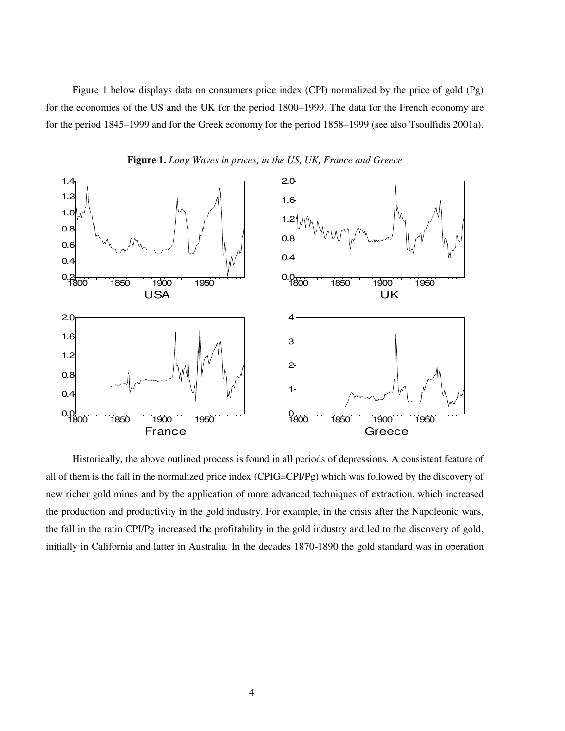Figure 1 below displays data on consumers price index (CPI) normalized by the price of gold (Pg) for the economies of the US and the UK for the period 1800–1999. The data for the French economy are for the period 1845–1999 and for the Greek economy for the period 1858–1999 (see also Tsoulfidis 2001a).



**Figure 1.** *Long Waves in prices, in the US, UK, France and Greece* 

 Historically, the above outlined process is found in all periods of depressions. A consistent feature of all of them is the fall in the normalized price index (CPIG=CPI/Pg) which was followed by the discovery of new richer gold mines and by the application of more advanced techniques of extraction, which increased the production and productivity in the gold industry. For example, in the crisis after the Napoleonic wars, the fall in the ratio CPI/Pg increased the profitability in the gold industry and led to the discovery of gold, initially in California and latter in Australia. In the decades 1870-1890 the gold standard was in operation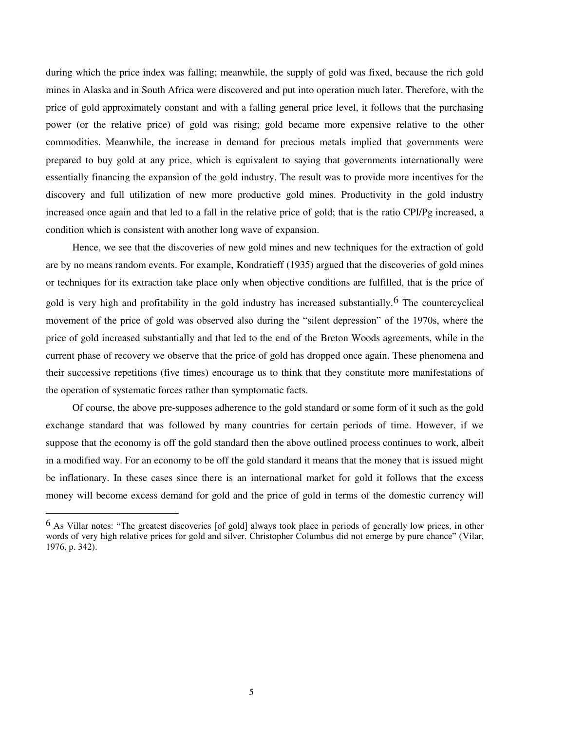during which the price index was falling; meanwhile, the supply of gold was fixed, because the rich gold mines in Alaska and in South Africa were discovered and put into operation much later. Therefore, with the price of gold approximately constant and with a falling general price level, it follows that the purchasing power (or the relative price) of gold was rising; gold became more expensive relative to the other commodities. Meanwhile, the increase in demand for precious metals implied that governments were prepared to buy gold at any price, which is equivalent to saying that governments internationally were essentially financing the expansion of the gold industry. The result was to provide more incentives for the discovery and full utilization of new more productive gold mines. Productivity in the gold industry increased once again and that led to a fall in the relative price of gold; that is the ratio CPI/Pg increased, a condition which is consistent with another long wave of expansion.

 Hence, we see that the discoveries of new gold mines and new techniques for the extraction of gold are by no means random events. For example, Kondratieff (1935) argued that the discoveries of gold mines or techniques for its extraction take place only when objective conditions are fulfilled, that is the price of gold is very high and profitability in the gold industry has increased substantially.<sup>6</sup> The countercyclical movement of the price of gold was observed also during the "silent depression" of the 1970s, where the price of gold increased substantially and that led to the end of the Breton Woods agreements, while in the current phase of recovery we observe that the price of gold has dropped once again. These phenomena and their successive repetitions (five times) encourage us to think that they constitute more manifestations of the operation of systematic forces rather than symptomatic facts.

 Of course, the above pre-supposes adherence to the gold standard or some form of it such as the gold exchange standard that was followed by many countries for certain periods of time. However, if we suppose that the economy is off the gold standard then the above outlined process continues to work, albeit in a modified way. For an economy to be off the gold standard it means that the money that is issued might be inflationary. In these cases since there is an international market for gold it follows that the excess money will become excess demand for gold and the price of gold in terms of the domestic currency will

<sup>6</sup> As Villar notes: "The greatest discoveries [of gold] always took place in periods of generally low prices, in other words of very high relative prices for gold and silver. Christopher Columbus did not emerge by pure chance" (Vilar, 1976, p. 342).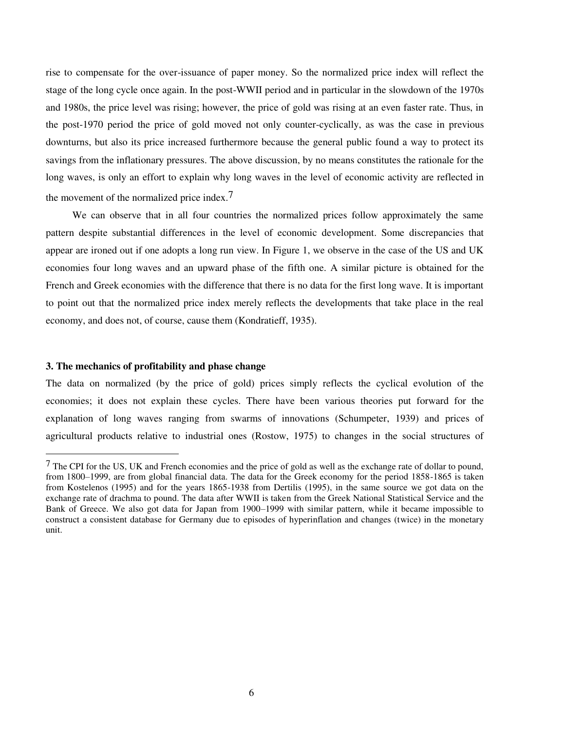rise to compensate for the over-issuance of paper money. So the normalized price index will reflect the stage of the long cycle once again. In the post-WWII period and in particular in the slowdown of the 1970s and 1980s, the price level was rising; however, the price of gold was rising at an even faster rate. Thus, in the post-1970 period the price of gold moved not only counter-cyclically, as was the case in previous downturns, but also its price increased furthermore because the general public found a way to protect its savings from the inflationary pressures. The above discussion, by no means constitutes the rationale for the long waves, is only an effort to explain why long waves in the level of economic activity are reflected in the movement of the normalized price index.<sup>7</sup>

 We can observe that in all four countries the normalized prices follow approximately the same pattern despite substantial differences in the level of economic development. Some discrepancies that appear are ironed out if one adopts a long run view. In Figure 1, we observe in the case of the US and UK economies four long waves and an upward phase of the fifth one. A similar picture is obtained for the French and Greek economies with the difference that there is no data for the first long wave. It is important to point out that the normalized price index merely reflects the developments that take place in the real economy, and does not, of course, cause them (Kondratieff, 1935).

#### **3. The mechanics of profitability and phase change**

j

The data on normalized (by the price of gold) prices simply reflects the cyclical evolution of the economies; it does not explain these cycles. There have been various theories put forward for the explanation of long waves ranging from swarms of innovations (Schumpeter, 1939) and prices of agricultural products relative to industrial ones (Rostow, 1975) to changes in the social structures of

<sup>7</sup> The CPI for the US, UK and French economies and the price of gold as well as the exchange rate of dollar to pound, from 1800–1999, are from global financial data. The data for the Greek economy for the period 1858-1865 is taken from Kostelenos (1995) and for the years 1865-1938 from Dertilis (1995), in the same source we got data on the exchange rate of drachma to pound. The data after WWII is taken from the Greek National Statistical Service and the Bank of Greece. We also got data for Japan from 1900–1999 with similar pattern, while it became impossible to construct a consistent database for Germany due to episodes of hyperinflation and changes (twice) in the monetary unit.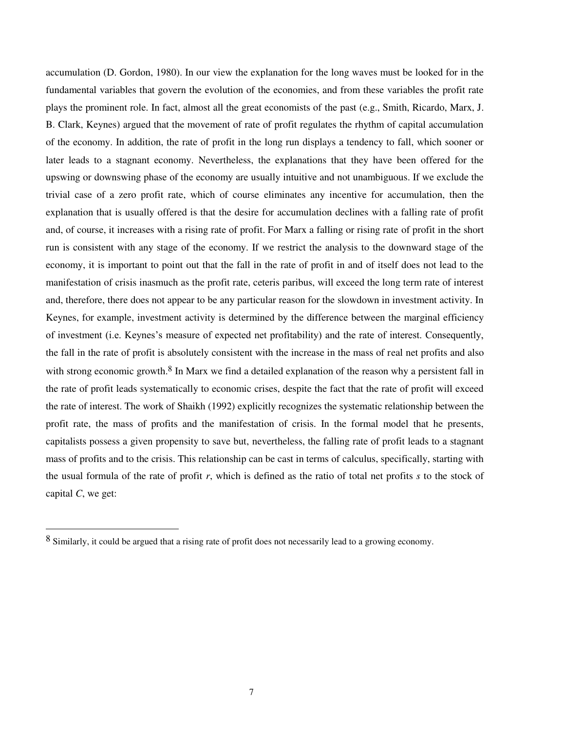accumulation (D. Gordon, 1980). In our view the explanation for the long waves must be looked for in the fundamental variables that govern the evolution of the economies, and from these variables the profit rate plays the prominent role. In fact, almost all the great economists of the past (e.g., Smith, Ricardo, Marx, J. B. Clark, Keynes) argued that the movement of rate of profit regulates the rhythm of capital accumulation of the economy. In addition, the rate of profit in the long run displays a tendency to fall, which sooner or later leads to a stagnant economy. Nevertheless, the explanations that they have been offered for the upswing or downswing phase of the economy are usually intuitive and not unambiguous. If we exclude the trivial case of a zero profit rate, which of course eliminates any incentive for accumulation, then the explanation that is usually offered is that the desire for accumulation declines with a falling rate of profit and, of course, it increases with a rising rate of profit. For Marx a falling or rising rate of profit in the short run is consistent with any stage of the economy. If we restrict the analysis to the downward stage of the economy, it is important to point out that the fall in the rate of profit in and of itself does not lead to the manifestation of crisis inasmuch as the profit rate, ceteris paribus, will exceed the long term rate of interest and, therefore, there does not appear to be any particular reason for the slowdown in investment activity. In Keynes, for example, investment activity is determined by the difference between the marginal efficiency of investment (i.e. Keynes's measure of expected net profitability) and the rate of interest. Consequently, the fall in the rate of profit is absolutely consistent with the increase in the mass of real net profits and also with strong economic growth.<sup>8</sup> In Marx we find a detailed explanation of the reason why a persistent fall in the rate of profit leads systematically to economic crises, despite the fact that the rate of profit will exceed the rate of interest. The work of Shaikh (1992) explicitly recognizes the systematic relationship between the profit rate, the mass of profits and the manifestation of crisis. In the formal model that he presents, capitalists possess a given propensity to save but, nevertheless, the falling rate of profit leads to a stagnant mass of profits and to the crisis. This relationship can be cast in terms of calculus, specifically, starting with the usual formula of the rate of profit *r*, which is defined as the ratio of total net profits *s* to the stock of capital *C*, we get:

-

<sup>8</sup> Similarly, it could be argued that a rising rate of profit does not necessarily lead to a growing economy.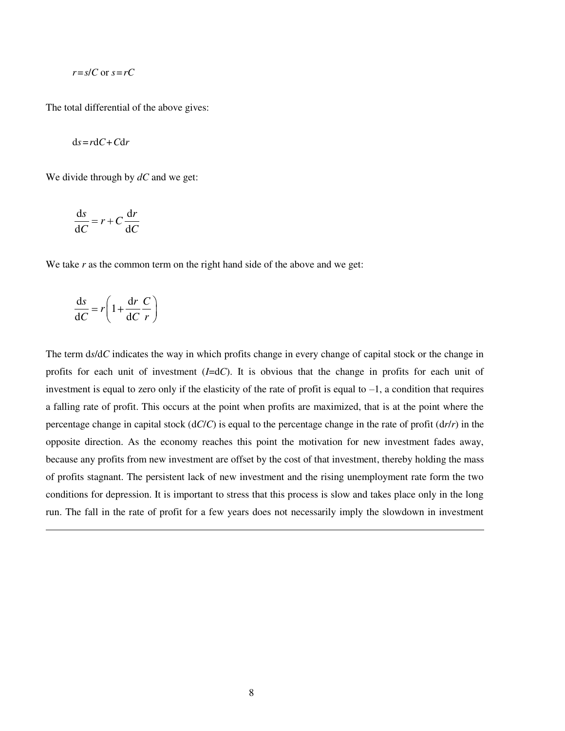$$
r = s/C
$$
 or  $s = rC$ 

The total differential of the above gives:

$$
ds = rdC + Cdr
$$

We divide through by *dC* and we get:

$$
\frac{\mathrm{d}s}{\mathrm{d}C} = r + C \frac{\mathrm{d}r}{\mathrm{d}C}
$$

We take *r* as the common term on the right hand side of the above and we get:

$$
\frac{\mathrm{d}s}{\mathrm{d}C} = r \left( 1 + \frac{\mathrm{d}r}{\mathrm{d}C} \frac{C}{r} \right)
$$

l

The term d*s*/d*C* indicates the way in which profits change in every change of capital stock or the change in profits for each unit of investment (*I*=d*C*). It is obvious that the change in profits for each unit of investment is equal to zero only if the elasticity of the rate of profit is equal to  $-1$ , a condition that requires a falling rate of profit. This occurs at the point when profits are maximized, that is at the point where the percentage change in capital stock (d*C*/*C*) is equal to the percentage change in the rate of profit (d*r*/*r*) in the opposite direction. As the economy reaches this point the motivation for new investment fades away, because any profits from new investment are offset by the cost of that investment, thereby holding the mass of profits stagnant. The persistent lack of new investment and the rising unemployment rate form the two conditions for depression. It is important to stress that this process is slow and takes place only in the long run. The fall in the rate of profit for a few years does not necessarily imply the slowdown in investment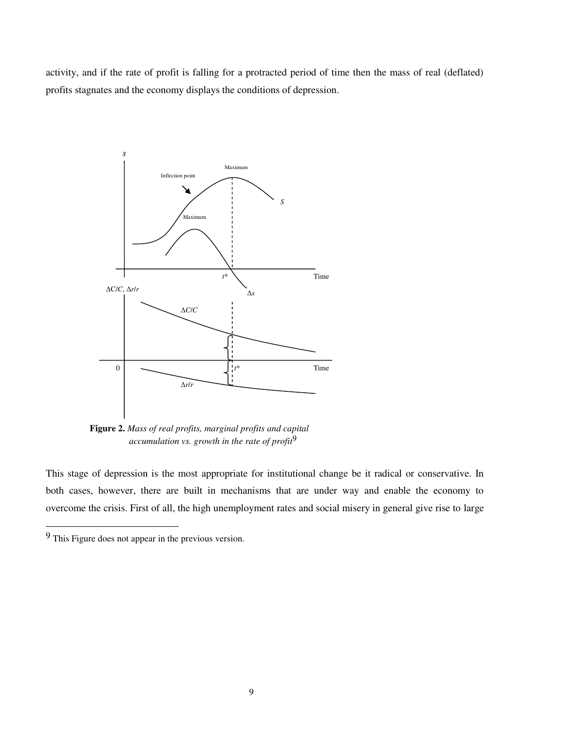activity, and if the rate of profit is falling for a protracted period of time then the mass of real (deflated) profits stagnates and the economy displays the conditions of depression.



 **Figure 2.** *Mass of real profits, marginal profits and capital accumulation vs. growth in the rate of profit*9

This stage of depression is the most appropriate for institutional change be it radical or conservative. In both cases, however, there are built in mechanisms that are under way and enable the economy to overcome the crisis. First of all, the high unemployment rates and social misery in general give rise to large

-

<sup>9</sup> This Figure does not appear in the previous version.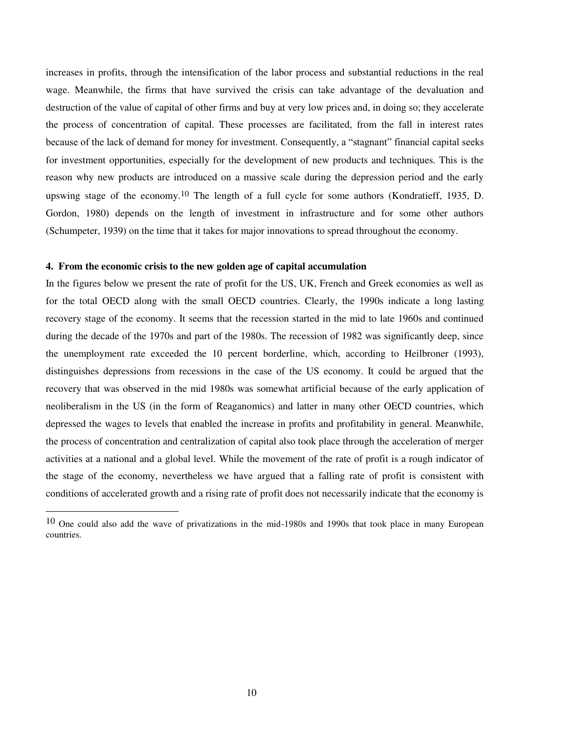increases in profits, through the intensification of the labor process and substantial reductions in the real wage. Meanwhile, the firms that have survived the crisis can take advantage of the devaluation and destruction of the value of capital of other firms and buy at very low prices and, in doing so; they accelerate the process of concentration of capital. These processes are facilitated, from the fall in interest rates because of the lack of demand for money for investment. Consequently, a "stagnant" financial capital seeks for investment opportunities, especially for the development of new products and techniques. This is the reason why new products are introduced on a massive scale during the depression period and the early upswing stage of the economy.<sup>10</sup> The length of a full cycle for some authors (Kondratieff, 1935, D. Gordon, 1980) depends on the length of investment in infrastructure and for some other authors (Schumpeter, 1939) on the time that it takes for major innovations to spread throughout the economy.

#### **4. From the economic crisis to the new golden age of capital accumulation**

-

In the figures below we present the rate of profit for the US, UK, French and Greek economies as well as for the total OECD along with the small OECD countries. Clearly, the 1990s indicate a long lasting recovery stage of the economy. It seems that the recession started in the mid to late 1960s and continued during the decade of the 1970s and part of the 1980s. The recession of 1982 was significantly deep, since the unemployment rate exceeded the 10 percent borderline, which, according to Heilbroner (1993), distinguishes depressions from recessions in the case of the US economy. It could be argued that the recovery that was observed in the mid 1980s was somewhat artificial because of the early application of neoliberalism in the US (in the form of Reaganomics) and latter in many other OECD countries, which depressed the wages to levels that enabled the increase in profits and profitability in general. Meanwhile, the process of concentration and centralization of capital also took place through the acceleration of merger activities at a national and a global level. While the movement of the rate of profit is a rough indicator of the stage of the economy, nevertheless we have argued that a falling rate of profit is consistent with conditions of accelerated growth and a rising rate of profit does not necessarily indicate that the economy is

<sup>10</sup> One could also add the wave of privatizations in the mid-1980s and 1990s that took place in many European countries.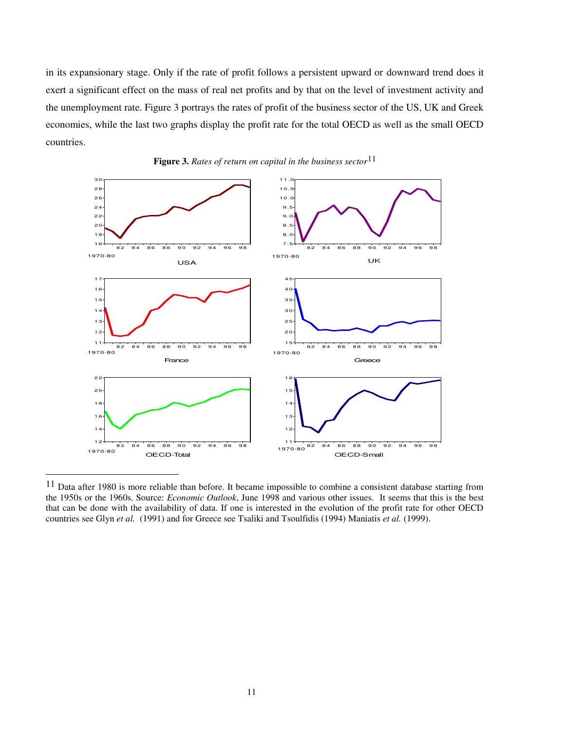in its expansionary stage. Only if the rate of profit follows a persistent upward or downward trend does it exert a significant effect on the mass of real net profits and by that on the level of investment activity and the unemployment rate. Figure 3 portrays the rates of profit of the business sector of the US, UK and Greek economies, while the last two graphs display the profit rate for the total OECD as well as the small OECD countries.





<sup>&</sup>lt;sup>11</sup> Data after 1980 is more reliable than before. It became impossible to combine a consistent database starting from the 1950s or the 1960s. Source: *Economic Outlook*, June 1998 and various other issues. It seems that this is the best that can be done with the availability of data. If one is interested in the evolution of the profit rate for other OECD countries see Glyn *et al.* (1991) and for Greece see Tsaliki and Tsoulfidis (1994) Maniatis *et al.* (1999).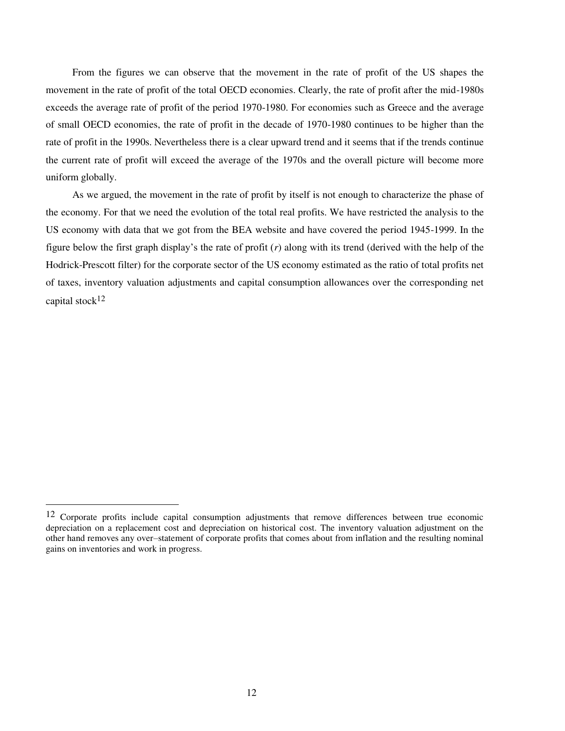From the figures we can observe that the movement in the rate of profit of the US shapes the movement in the rate of profit of the total OECD economies. Clearly, the rate of profit after the mid-1980s exceeds the average rate of profit of the period 1970-1980. For economies such as Greece and the average of small OECD economies, the rate of profit in the decade of 1970-1980 continues to be higher than the rate of profit in the 1990s. Nevertheless there is a clear upward trend and it seems that if the trends continue the current rate of profit will exceed the average of the 1970s and the overall picture will become more uniform globally.

 As we argued, the movement in the rate of profit by itself is not enough to characterize the phase of the economy. For that we need the evolution of the total real profits. We have restricted the analysis to the US economy with data that we got from the BEA website and have covered the period 1945-1999. In the figure below the first graph display's the rate of profit (*r*) along with its trend (derived with the help of the Hodrick-Prescott filter) for the corporate sector of the US economy estimated as the ratio of total profits net of taxes, inventory valuation adjustments and capital consumption allowances over the corresponding net capital stock12

<sup>12</sup> Corporate profits include capital consumption adjustments that remove differences between true economic depreciation on a replacement cost and depreciation on historical cost. The inventory valuation adjustment on the other hand removes any over–statement of corporate profits that comes about from inflation and the resulting nominal gains on inventories and work in progress.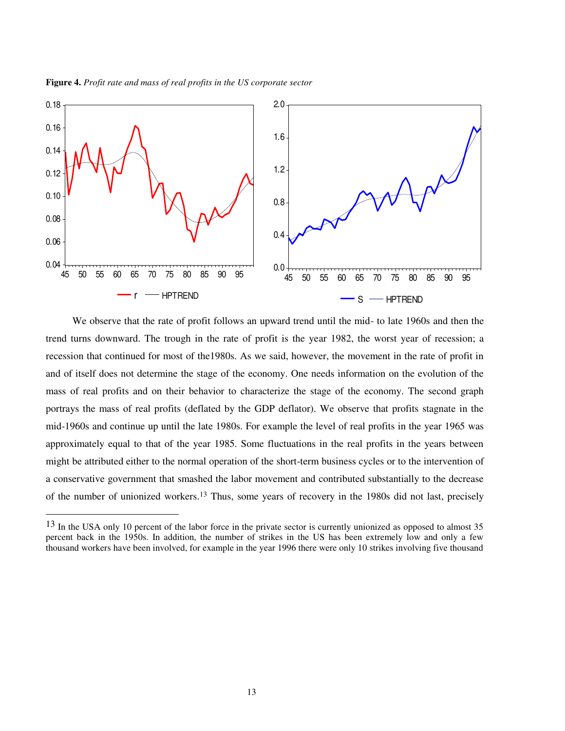

**Figure 4.** *Profit rate and mass of real profits in the US corporate sector* 

-

 We observe that the rate of profit follows an upward trend until the mid- to late 1960s and then the trend turns downward. The trough in the rate of profit is the year 1982, the worst year of recession; a recession that continued for most of the1980s. As we said, however, the movement in the rate of profit in and of itself does not determine the stage of the economy. One needs information on the evolution of the mass of real profits and on their behavior to characterize the stage of the economy. The second graph portrays the mass of real profits (deflated by the GDP deflator). We observe that profits stagnate in the mid-1960s and continue up until the late 1980s. For example the level of real profits in the year 1965 was approximately equal to that of the year 1985. Some fluctuations in the real profits in the years between might be attributed either to the normal operation of the short-term business cycles or to the intervention of a conservative government that smashed the labor movement and contributed substantially to the decrease of the number of unionized workers.13 Thus, some years of recovery in the 1980s did not last, precisely

<sup>&</sup>lt;sup>13</sup> In the USA only 10 percent of the labor force in the private sector is currently unionized as opposed to almost 35 percent back in the 1950s. In addition, the number of strikes in the US has been extremely low and only a few thousand workers have been involved, for example in the year 1996 there were only 10 strikes involving five thousand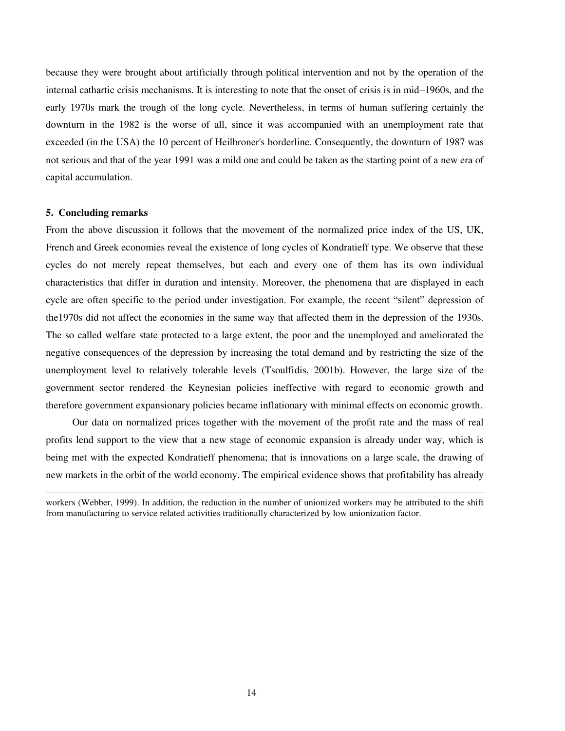because they were brought about artificially through political intervention and not by the operation of the internal cathartic crisis mechanisms. It is interesting to note that the onset of crisis is in mid–1960s, and the early 1970s mark the trough of the long cycle. Nevertheless, in terms of human suffering certainly the downturn in the 1982 is the worse of all, since it was accompanied with an unemployment rate that exceeded (in the USA) the 10 percent of Heilbroner's borderline. Consequently, the downturn of 1987 was not serious and that of the year 1991 was a mild one and could be taken as the starting point of a new era of capital accumulation.

## **5. Concluding remarks**

l

From the above discussion it follows that the movement of the normalized price index of the US, UK, French and Greek economies reveal the existence of long cycles of Kondratieff type. We observe that these cycles do not merely repeat themselves, but each and every one of them has its own individual characteristics that differ in duration and intensity. Moreover, the phenomena that are displayed in each cycle are often specific to the period under investigation. For example, the recent "silent" depression of the1970s did not affect the economies in the same way that affected them in the depression of the 1930s. The so called welfare state protected to a large extent, the poor and the unemployed and ameliorated the negative consequences of the depression by increasing the total demand and by restricting the size of the unemployment level to relatively tolerable levels (Tsoulfidis, 2001b). However, the large size of the government sector rendered the Keynesian policies ineffective with regard to economic growth and therefore government expansionary policies became inflationary with minimal effects on economic growth.

 Our data on normalized prices together with the movement of the profit rate and the mass of real profits lend support to the view that a new stage of economic expansion is already under way, which is being met with the expected Kondratieff phenomena; that is innovations on a large scale, the drawing of new markets in the orbit of the world economy. The empirical evidence shows that profitability has already

workers (Webber, 1999). In addition, the reduction in the number of unionized workers may be attributed to the shift from manufacturing to service related activities traditionally characterized by low unionization factor.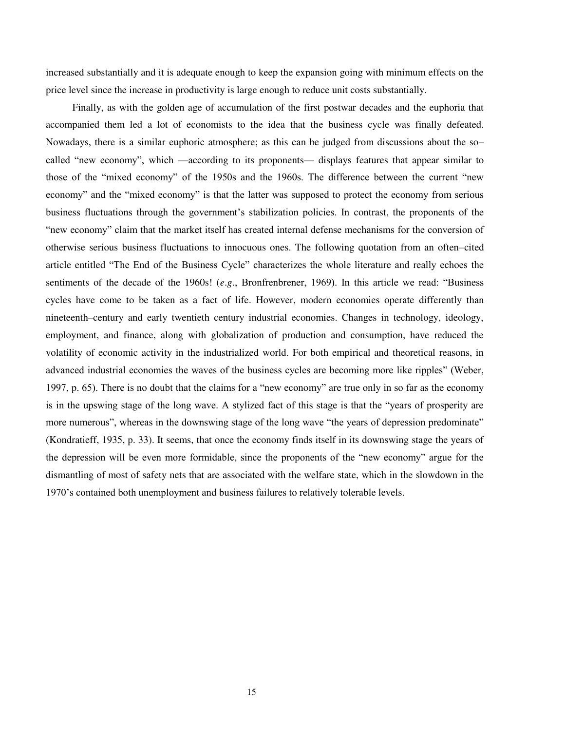increased substantially and it is adequate enough to keep the expansion going with minimum effects on the price level since the increase in productivity is large enough to reduce unit costs substantially.

 Finally, as with the golden age of accumulation of the first postwar decades and the euphoria that accompanied them led a lot of economists to the idea that the business cycle was finally defeated. Nowadays, there is a similar euphoric atmosphere; as this can be judged from discussions about the so– called "new economy", which —according to its proponents— displays features that appear similar to those of the "mixed economy" of the 1950s and the 1960s. The difference between the current "new economy" and the "mixed economy" is that the latter was supposed to protect the economy from serious business fluctuations through the government's stabilization policies. In contrast, the proponents of the "new economy" claim that the market itself has created internal defense mechanisms for the conversion of otherwise serious business fluctuations to innocuous ones. The following quotation from an often–cited article entitled "The End of the Business Cycle" characterizes the whole literature and really echoes the sentiments of the decade of the 1960s! (*e*.*g*., Bronfrenbrener, 1969). In this article we read: "Business cycles have come to be taken as a fact of life. However, modern economies operate differently than nineteenth–century and early twentieth century industrial economies. Changes in technology, ideology, employment, and finance, along with globalization of production and consumption, have reduced the volatility of economic activity in the industrialized world. For both empirical and theoretical reasons, in advanced industrial economies the waves of the business cycles are becoming more like ripples" (Weber, 1997, p. 65). There is no doubt that the claims for a "new economy" are true only in so far as the economy is in the upswing stage of the long wave. A stylized fact of this stage is that the "years of prosperity are more numerous", whereas in the downswing stage of the long wave "the years of depression predominate" (Kondratieff, 1935, p. 33). It seems, that once the economy finds itself in its downswing stage the years of the depression will be even more formidable, since the proponents of the "new economy" argue for the dismantling of most of safety nets that are associated with the welfare state, which in the slowdown in the 1970's contained both unemployment and business failures to relatively tolerable levels.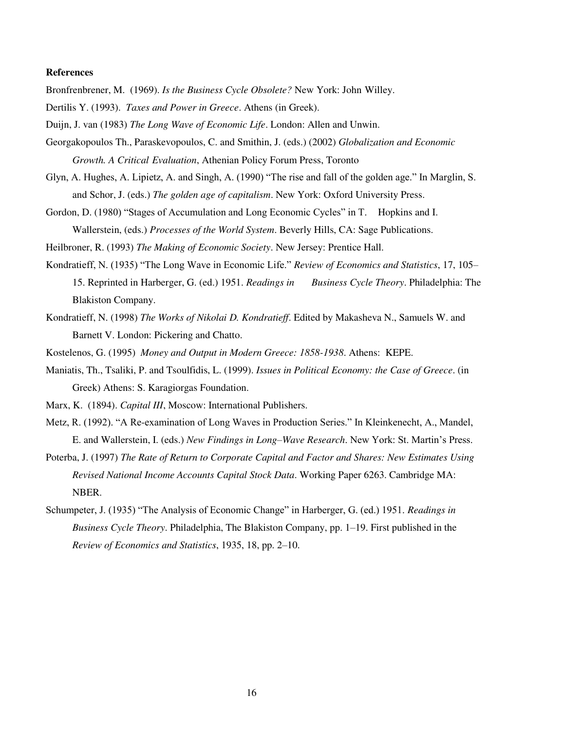#### **References**

Bronfrenbrener, M. (1969). *Is the Business Cycle Obsolete?* New York: John Willey.

- Dertilis Y. (1993). *Taxes and Power in Greece*. Athens (in Greek).
- Duijn, J. van (1983) *The Long Wave of Economic Life*. London: Allen and Unwin.
- Georgakopoulos Th., Paraskevopoulos, C. and Smithin, J. (eds.) (2002) *Globalization and Economic Growth. A Critical Evaluation*, Athenian Policy Forum Press, Toronto
- Glyn, A. Hughes, A. Lipietz, A. and Singh, A. (1990) "The rise and fall of the golden age." In Marglin, S. and Schor, J. (eds.) *The golden age of capitalism*. New York: Oxford University Press.
- Gordon, D. (1980) "Stages of Accumulation and Long Economic Cycles" in T. Hopkins and I. Wallerstein, (eds.) *Processes of the World System*. Beverly Hills, CA: Sage Publications.

Heilbroner, R. (1993) *The Making of Economic Society*. New Jersey: Prentice Hall.

- Kondratieff, N. (1935) "The Long Wave in Economic Life." *Review of Economics and Statistics*, 17, 105– 15. Reprinted in Harberger, G. (ed.) 1951. *Readings in Business Cycle Theory*. Philadelphia: The Blakiston Company.
- Kondratieff, N. (1998) *The Works of Nikolai D. Kondratieff*. Edited by Makasheva N., Samuels W. and Barnett V. London: Pickering and Chatto.

Kostelenos, G. (1995) *Money and Output in Modern Greece: 1858-1938*. Athens: KEPE.

Maniatis, Th., Tsaliki, P. and Tsoulfidis, L. (1999). *Issues in Political Economy: the Case of Greece*. (in Greek) Athens: S. Karagiorgas Foundation.

Marx, K. (1894). *Capital III*, Moscow: International Publishers.

- Metz, R. (1992). "A Re-examination of Long Waves in Production Series." In Kleinkenecht, A., Mandel, E. and Wallerstein, I. (eds.) *New Findings in Long–Wave Research*. New York: St. Martin's Press.
- Poterba, J. (1997) *The Rate of Return to Corporate Capital and Factor and Shares: New Estimates Using Revised National Income Accounts Capital Stock Data*. Working Paper 6263. Cambridge MA: NBER.
- Schumpeter, J. (1935) "The Analysis of Economic Change" in Harberger, G. (ed.) 1951. *Readings in Business Cycle Theory*. Philadelphia, The Blakiston Company, pp. 1–19. First published in the *Review of Economics and Statistics*, 1935, 18, pp. 2–10.